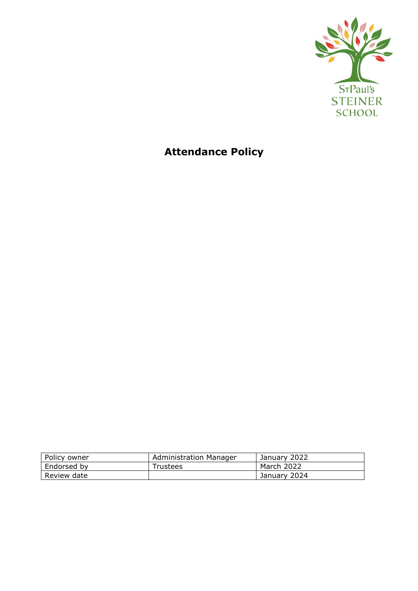

# **Attendance Policy**

| Policy owner | Administration Manager | January 2022 |
|--------------|------------------------|--------------|
| Endorsed by  | Trustees               | March 2022   |
| Review date  |                        | January 2024 |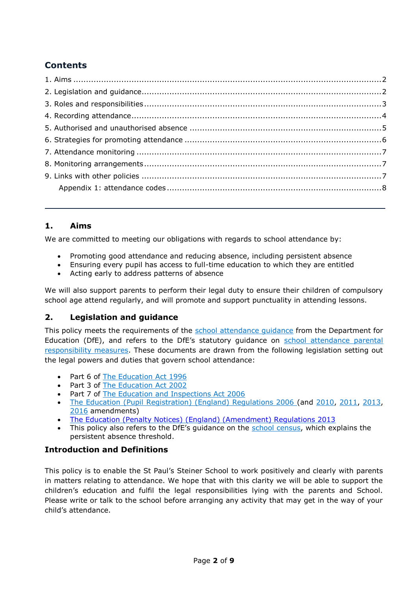# **Contents**

# <span id="page-1-0"></span>**1. Aims**

We are committed to meeting our obligations with regards to school attendance by:

- Promoting good attendance and reducing absence, including persistent absence
- Ensuring every pupil has access to full-time education to which they are entitled
- Acting early to address patterns of absence

We will also support parents to perform their legal duty to ensure their children of compulsory school age attend regularly, and will promote and support punctuality in attending lessons.

## <span id="page-1-1"></span>**2. Legislation and guidance**

This policy meets the requirements of the [school attendance guidance](https://www.gov.uk/government/publications/school-attendance) from the Department for Education (DfE), and refers to the DfE's statutory guidance on [school attendance parental](https://www.gov.uk/government/publications/parental-responsibility-measures-for-behaviour-and-attendance)  [responsibility measures.](https://www.gov.uk/government/publications/parental-responsibility-measures-for-behaviour-and-attendance) These documents are drawn from the following legislation setting out the legal powers and duties that govern school attendance:

- Part 6 of [The Education Act 1996](https://www.legislation.gov.uk/ukpga/1996/56/part/VI/chapter/II)
- Part 3 of [The Education Act 2002](http://www.legislation.gov.uk/ukpga/2002/32/part/3/chapter/3)
- Part 7 of [The Education and Inspections Act 2006](http://www.legislation.gov.uk/ukpga/2006/40/part/7/chapter/2/crossheading/school-attendance)
- [The Education \(Pupil Registration\) \(England\) Regulations 2006](http://www.legislation.gov.uk/uksi/2006/1751/contents/made) (and [2010,](https://www.legislation.gov.uk/uksi/2010/1725/regulation/2/made) [2011,](https://www.legislation.gov.uk/uksi/2011/1625/made) [2013,](https://www.legislation.gov.uk/uksi/2013/756/made) [2016](https://www.legislation.gov.uk/uksi/2016/792/made/data.html) amendments)
- [The Education \(Penalty Notices\) \(England\) \(Amendment\) Regulations 2013](https://www.legislation.gov.uk/uksi/2013/757/regulation/2/made)
- This policy also refers to the DfE's guidance on the [school census,](https://www.gov.uk/guidance/complete-the-school-census) which explains the persistent absence threshold.

# **Introduction and Definitions**

This policy is to enable the St Paul's Steiner School to work positively and clearly with parents in matters relating to attendance. We hope that with this clarity we will be able to support the children's education and fulfil the legal responsibilities lying with the parents and School. Please write or talk to the school before arranging any activity that may get in the way of your child's attendance.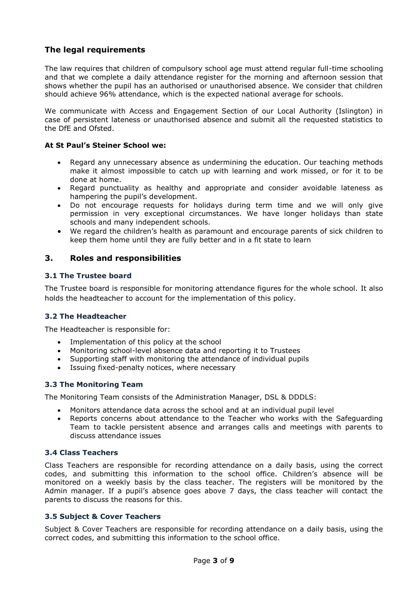# **The legal requirements**

The law requires that children of compulsory school age must attend regular full-time schooling and that we complete a daily attendance register for the morning and afternoon session that shows whether the pupil has an authorised or unauthorised absence. We consider that children should achieve 96% attendance, which is the expected national average for schools.

We communicate with Access and Engagement Section of our Local Authority (Islington) in case of persistent lateness or unauthorised absence and submit all the requested statistics to the DfE and Ofsted.

#### **At St Paul's Steiner School we:**

- Regard any unnecessary absence as undermining the education. Our teaching methods make it almost impossible to catch up with learning and work missed, or for it to be done at home.
- Regard punctuality as healthy and appropriate and consider avoidable lateness as hampering the pupil's development.
- Do not encourage requests for holidays during term time and we will only give permission in very exceptional circumstances. We have longer holidays than state schools and many independent schools.
- We regard the children's health as paramount and encourage parents of sick children to keep them home until they are fully better and in a fit state to learn

#### <span id="page-2-0"></span>**3. Roles and responsibilities**

#### **3.1 The Trustee board**

The Trustee board is responsible for monitoring attendance figures for the whole school. It also holds the headteacher to account for the implementation of this policy.

#### **3.2 The Headteacher**

The Headteacher is responsible for:

- Implementation of this policy at the school
- Monitoring school-level absence data and reporting it to Trustees
- Supporting staff with monitoring the attendance of individual pupils
- Issuing fixed-penalty notices, where necessary

#### **3.3 The Monitoring Team**

The Monitoring Team consists of the Administration Manager, DSL & DDDLS:

- Monitors attendance data across the school and at an individual pupil level
- Reports concerns about attendance to the Teacher who works with the Safeguarding Team to tackle persistent absence and arranges calls and meetings with parents to discuss attendance issues

#### **3.4 Class Teachers**

Class Teachers are responsible for recording attendance on a daily basis, using the correct codes, and submitting this information to the school office. Children's absence will be monitored on a weekly basis by the class teacher. The registers will be monitored by the Admin manager. If a pupil's absence goes above 7 days, the class teacher will contact the parents to discuss the reasons for this.

#### **3.5 Subject & Cover Teachers**

Subject & Cover Teachers are responsible for recording attendance on a daily basis, using the correct codes, and submitting this information to the school office.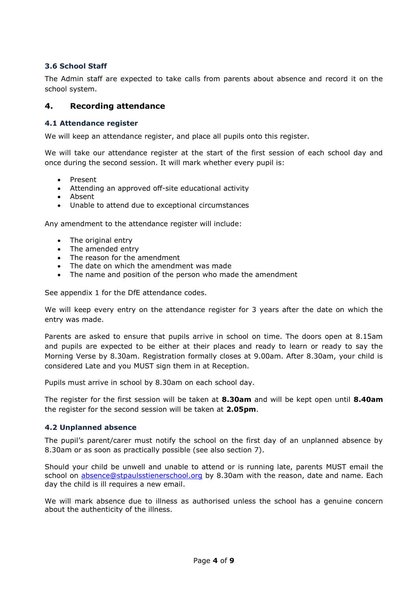### **3.6 School Staff**

The Admin staff are expected to take calls from parents about absence and record it on the school system.

#### <span id="page-3-0"></span>**4. Recording attendance**

#### **4.1 Attendance register**

We will keep an attendance register, and place all pupils onto this register.

We will take our attendance register at the start of the first session of each school day and once during the second session. It will mark whether every pupil is:

- Present
- Attending an approved off-site educational activity
- Absent
- Unable to attend due to exceptional circumstances

Any amendment to the attendance register will include:

- The original entry
- The amended entry
- The reason for the amendment
- The date on which the amendment was made
- The name and position of the person who made the amendment

See appendix 1 for the DfE attendance codes.

We will keep every entry on the attendance register for 3 years after the date on which the entry was made.

Parents are asked to ensure that pupils arrive in school on time. The doors open at 8.15am and pupils are expected to be either at their places and ready to learn or ready to say the Morning Verse by 8.30am. Registration formally closes at 9.00am. After 8.30am, your child is considered Late and you MUST sign them in at Reception.

Pupils must arrive in school by 8.30am on each school day.

The register for the first session will be taken at **8.30am** and will be kept open until **8.40am** the register for the second session will be taken at **2.05pm**.

#### **4.2 Unplanned absence**

The pupil's parent/carer must notify the school on the first day of an unplanned absence by 8.30am or as soon as practically possible (see also section 7).

Should your child be unwell and unable to attend or is running late, parents MUST email the school on [absence@stpaulsstienerschool.org](mailto:absence@stpaulsstienerschool.org) by 8.30am with the reason, date and name. Each day the child is ill requires a new email.

We will mark absence due to illness as authorised unless the school has a genuine concern about the authenticity of the illness.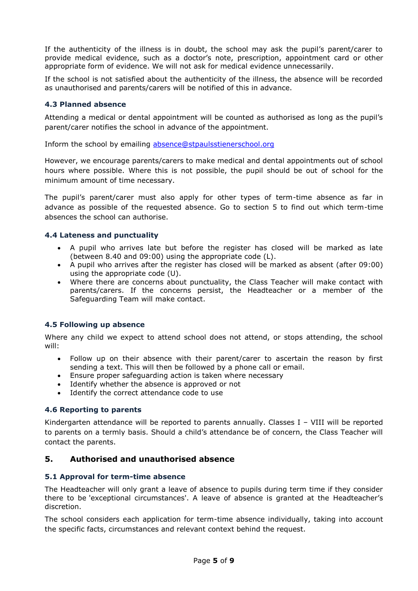If the authenticity of the illness is in doubt, the school may ask the pupil's parent/carer to provide medical evidence, such as a doctor's note, prescription, appointment card or other appropriate form of evidence. We will not ask for medical evidence unnecessarily.

If the school is not satisfied about the authenticity of the illness, the absence will be recorded as unauthorised and parents/carers will be notified of this in advance.

#### **4.3 Planned absence**

Attending a medical or dental appointment will be counted as authorised as long as the pupil's parent/carer notifies the school in advance of the appointment.

Inform the school by emailing [absence@stpaulsstienerschool.org](mailto:absence@stpaulsstienerschool.org)

However, we encourage parents/carers to make medical and dental appointments out of school hours where possible. Where this is not possible, the pupil should be out of school for the minimum amount of time necessary.

The pupil's parent/carer must also apply for other types of term-time absence as far in advance as possible of the requested absence. Go to section 5 to find out which term-time absences the school can authorise.

#### **4.4 Lateness and punctuality**

- A pupil who arrives late but before the register has closed will be marked as late (between 8.40 and 09:00) using the appropriate code (L).
- A pupil who arrives after the register has closed will be marked as absent (after 09:00) using the appropriate code (U).
- Where there are concerns about punctuality, the Class Teacher will make contact with parents/carers. If the concerns persist, the Headteacher or a member of the Safeguarding Team will make contact.

#### **4.5 Following up absence**

Where any child we expect to attend school does not attend, or stops attending, the school will:

- Follow up on their absence with their parent/carer to ascertain the reason by first sending a text. This will then be followed by a phone call or email.
- Ensure proper safeguarding action is taken where necessary
- Identify whether the absence is approved or not
- Identify the correct attendance code to use

#### **4.6 Reporting to parents**

Kindergarten attendance will be reported to parents annually. Classes I - VIII will be reported to parents on a termly basis. Should a child's attendance be of concern, the Class Teacher will contact the parents.

#### <span id="page-4-0"></span>**5. Authorised and unauthorised absence**

#### **5.1 Approval for term-time absence**

The Headteacher will only grant a leave of absence to pupils during term time if they consider there to be 'exceptional circumstances'. A leave of absence is granted at the Headteacher's discretion.

The school considers each application for term-time absence individually, taking into account the specific facts, circumstances and relevant context behind the request.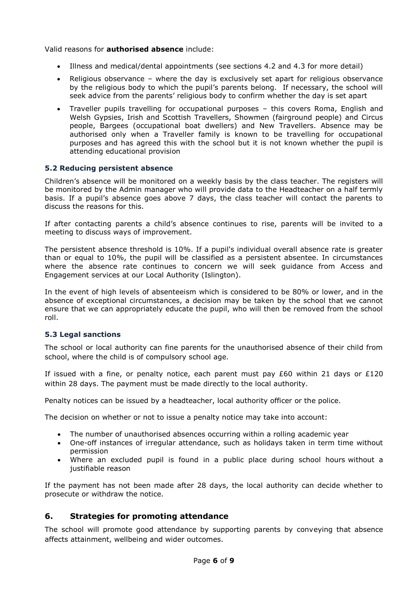Valid reasons for **authorised absence** include:

- Illness and medical/dental appointments (see sections 4.2 and 4.3 for more detail)
- Religious observance where the day is exclusively set apart for religious observance by the religious body to which the pupil's parents belong. If necessary, the school will seek advice from the parents' religious body to confirm whether the day is set apart
- Traveller pupils travelling for occupational purposes this covers Roma, English and Welsh Gypsies, Irish and Scottish Travellers, Showmen (fairground people) and Circus people, Bargees (occupational boat dwellers) and New Travellers. Absence may be authorised only when a Traveller family is known to be travelling for occupational purposes and has agreed this with the school but it is not known whether the pupil is attending educational provision

#### **5.2 Reducing persistent absence**

Children's absence will be monitored on a weekly basis by the class teacher. The registers will be monitored by the Admin manager who will provide data to the Headteacher on a half termly basis. If a pupil's absence goes above 7 days, the class teacher will contact the parents to discuss the reasons for this.

If after contacting parents a child's absence continues to rise, parents will be invited to a meeting to discuss ways of improvement.

The persistent absence threshold is 10%. If a pupil's individual overall absence rate is greater than or equal to 10%, the pupil will be classified as a persistent absentee. In circumstances where the absence rate continues to concern we will seek guidance from Access and Engagement services at our Local Authority (Islington).

In the event of high levels of absenteeism which is considered to be 80% or lower, and in the absence of exceptional circumstances, a decision may be taken by the school that we cannot ensure that we can appropriately educate the pupil, who will then be removed from the school roll.

#### **5.3 Legal sanctions**

The school or local authority can fine parents for the unauthorised absence of their child from school, where the child is of compulsory school age.

If issued with a fine, or penalty notice, each parent must pay  $£60$  within 21 days or  $£120$ within 28 days. The payment must be made directly to the local authority.

Penalty notices can be issued by a headteacher, local authority officer or the police.

The decision on whether or not to issue a penalty notice may take into account:

- The number of unauthorised absences occurring within a rolling academic year
- One-off instances of irregular attendance, such as holidays taken in term time without permission
- Where an excluded pupil is found in a public place during school hours without a justifiable reason

If the payment has not been made after 28 days, the local authority can decide whether to prosecute or withdraw the notice.

#### <span id="page-5-0"></span>**6. Strategies for promoting attendance**

The school will promote good attendance by supporting parents by conveying that absence affects attainment, wellbeing and wider outcomes.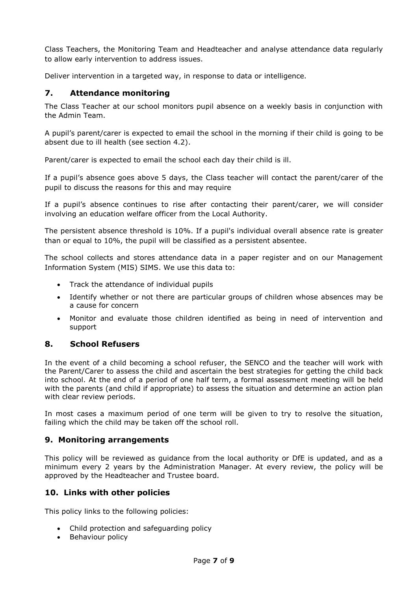Class Teachers, the Monitoring Team and Headteacher and analyse attendance data regularly to allow early intervention to address issues.

Deliver intervention in a targeted way, in response to data or intelligence.

#### <span id="page-6-0"></span>**7. Attendance monitoring**

The Class Teacher at our school monitors pupil absence on a weekly basis in conjunction with the Admin Team.

A pupil's parent/carer is expected to email the school in the morning if their child is going to be absent due to ill health (see section 4.2).

Parent/carer is expected to email the school each day their child is ill.

If a pupil's absence goes above 5 days, the Class teacher will contact the parent/carer of the pupil to discuss the reasons for this and may require

If a pupil's absence continues to rise after contacting their parent/carer, we will consider involving an education welfare officer from the Local Authority.

The persistent absence threshold is 10%. If a pupil's individual overall absence rate is greater than or equal to 10%, the pupil will be classified as a persistent absentee.

The school collects and stores attendance data in a paper register and on our Management Information System (MIS) SIMS. We use this data to:

- Track the attendance of individual pupils
- Identify whether or not there are particular groups of children whose absences may be a cause for concern
- Monitor and evaluate those children identified as being in need of intervention and support

## **8. School Refusers**

In the event of a child becoming a school refuser, the SENCO and the teacher will work with the Parent/Carer to assess the child and ascertain the best strategies for getting the child back into school. At the end of a period of one half term, a formal assessment meeting will be held with the parents (and child if appropriate) to assess the situation and determine an action plan with clear review periods.

In most cases a maximum period of one term will be given to try to resolve the situation, failing which the child may be taken off the school roll.

#### <span id="page-6-1"></span>**9. Monitoring arrangements**

This policy will be reviewed as guidance from the local authority or DfE is updated, and as a minimum every 2 years by the Administration Manager. At every review, the policy will be approved by the Headteacher and Trustee board.

#### <span id="page-6-2"></span>**10. Links with other policies**

This policy links to the following policies:

- Child protection and safeguarding policy
- Behaviour policy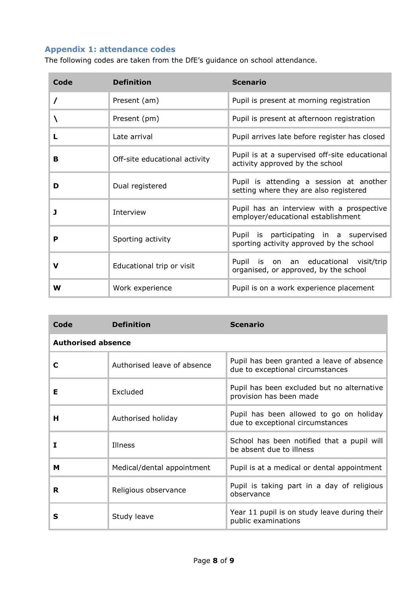# <span id="page-7-0"></span>**Appendix 1: attendance codes**

The following codes are taken from the DfE's guidance on school attendance.

| Code | <b>Definition</b>             | <b>Scenario</b>                                                                    |
|------|-------------------------------|------------------------------------------------------------------------------------|
|      | Present (am)                  | Pupil is present at morning registration                                           |
|      | Present (pm)                  | Pupil is present at afternoon registration                                         |
| L    | Late arrival                  | Pupil arrives late before register has closed                                      |
| B    | Off-site educational activity | Pupil is at a supervised off-site educational<br>activity approved by the school   |
| D    | Dual registered               | Pupil is attending a session at another<br>setting where they are also registered  |
| J    | Interview                     | Pupil has an interview with a prospective<br>employer/educational establishment    |
| P    | Sporting activity             | Pupil is participating in a supervised<br>sporting activity approved by the school |
| v    | Educational trip or visit     | Pupil is on an educational visit/trip<br>organised, or approved, by the school     |
| W    | Work experience               | Pupil is on a work experience placement                                            |

| Code                      | <b>Definition</b>           | <b>Scenario</b>                                                               |  |
|---------------------------|-----------------------------|-------------------------------------------------------------------------------|--|
| <b>Authorised absence</b> |                             |                                                                               |  |
| C                         | Authorised leave of absence | Pupil has been granted a leave of absence<br>due to exceptional circumstances |  |
| Е                         | Excluded                    | Pupil has been excluded but no alternative<br>provision has been made         |  |
| н                         | Authorised holiday          | Pupil has been allowed to go on holiday<br>due to exceptional circumstances   |  |
| I                         | Illness                     | School has been notified that a pupil will<br>be absent due to illness        |  |
| М                         | Medical/dental appointment  | Pupil is at a medical or dental appointment                                   |  |
| R                         | Religious observance        | Pupil is taking part in a day of religious<br>observance                      |  |
| s                         | Study leave                 | Year 11 pupil is on study leave during their<br>public examinations           |  |